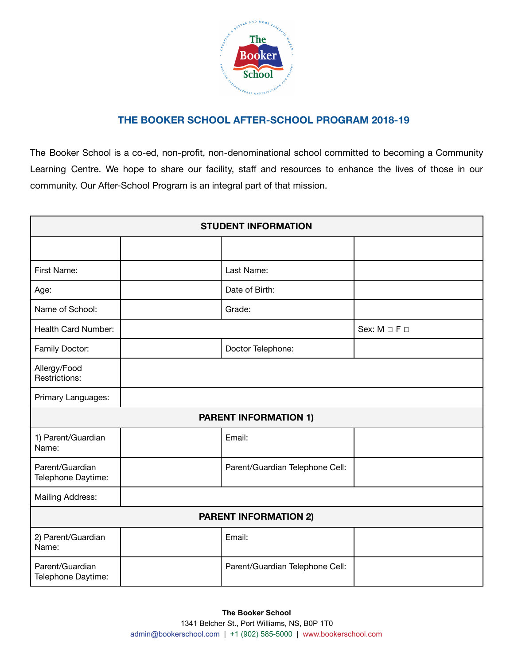

## **THE BOOKER SCHOOL AFTER-SCHOOL PROGRAM 2018-19**

The Booker School is a co-ed, non-profit, non-denominational school committed to becoming a Community Learning Centre. We hope to share our facility, staff and resources to enhance the lives of those in our community. Our After-School Program is an integral part of that mission.

| <b>STUDENT INFORMATION</b>            |  |                                 |                            |  |
|---------------------------------------|--|---------------------------------|----------------------------|--|
|                                       |  |                                 |                            |  |
| First Name:                           |  | Last Name:                      |                            |  |
| Age:                                  |  | Date of Birth:                  |                            |  |
| Name of School:                       |  | Grade:                          |                            |  |
| Health Card Number:                   |  |                                 | Sex: $M \square F \square$ |  |
| Family Doctor:                        |  | Doctor Telephone:               |                            |  |
| Allergy/Food<br>Restrictions:         |  |                                 |                            |  |
| Primary Languages:                    |  |                                 |                            |  |
| <b>PARENT INFORMATION 1)</b>          |  |                                 |                            |  |
| 1) Parent/Guardian<br>Name:           |  | Email:                          |                            |  |
| Parent/Guardian<br>Telephone Daytime: |  | Parent/Guardian Telephone Cell: |                            |  |
| Mailing Address:                      |  |                                 |                            |  |
| <b>PARENT INFORMATION 2)</b>          |  |                                 |                            |  |
| 2) Parent/Guardian<br>Name:           |  | Email:                          |                            |  |
| Parent/Guardian<br>Telephone Daytime: |  | Parent/Guardian Telephone Cell: |                            |  |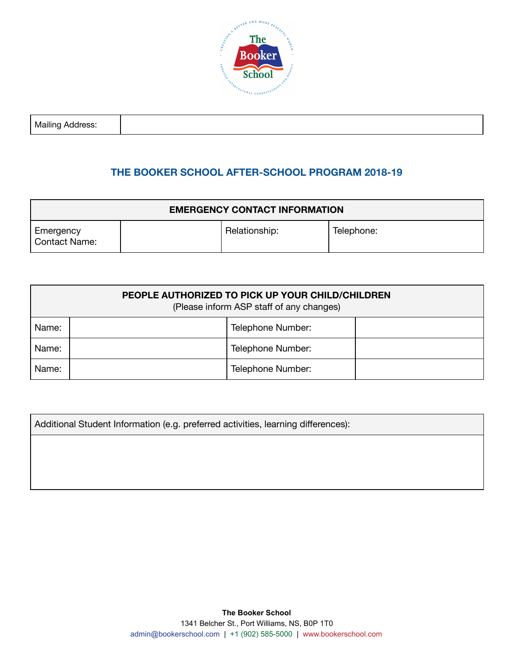

# **THE BOOKER SCHOOL AFTER-SCHOOL PROGRAM 2018-19**

| <b>EMERGENCY CONTACT INFORMATION</b> |  |               |            |
|--------------------------------------|--|---------------|------------|
| Emergency<br>Contact Name:           |  | Relationship: | Telephone: |

| PEOPLE AUTHORIZED TO PICK UP YOUR CHILD/CHILDREN<br>(Please inform ASP staff of any changes) |  |                   |  |
|----------------------------------------------------------------------------------------------|--|-------------------|--|
| Name:                                                                                        |  | Telephone Number: |  |
| Name:                                                                                        |  | Telephone Number: |  |
| Name:                                                                                        |  | Telephone Number: |  |

Additional Student Information (e.g. preferred activities, learning differences):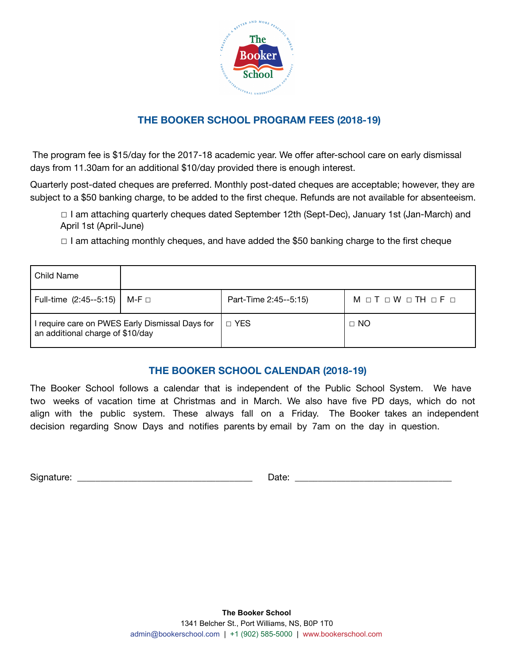

# **THE BOOKER SCHOOL PROGRAM FEES (2018-19)**

The program fee is \$15/day for the 2017-18 academic year. We offer after-school care on early dismissal days from 11.30am for an additional \$10/day provided there is enough interest.

Quarterly post-dated cheques are preferred. Monthly post-dated cheques are acceptable; however, they are subject to a \$50 banking charge, to be added to the first cheque. Refunds are not available for absenteeism.

☐ I am attaching quarterly cheques dated September 12th (Sept-Dec), January 1st (Jan-March) and April 1st (April-June)

☐ I am attaching monthly cheques, and have added the \$50 banking charge to the first cheque

| Child Name                                                                          |       |                       |                      |
|-------------------------------------------------------------------------------------|-------|-----------------------|----------------------|
| Full-time (2:45--5:15)                                                              | M-F □ | Part-Time 2:45--5:15) | M o T o W o TH o F o |
| I require care on PWES Early Dismissal Days for<br>an additional charge of \$10/day |       | □ YES                 | $\Box$ NO            |

## **THE BOOKER SCHOOL CALENDAR (2018-19)**

The Booker School follows a calendar that is independent of the Public School System. We have two weeks of vacation time at Christmas and in March. We also have five PD days, which do not align with the public system. These always fall on a Friday. The Booker takes an independent decision regarding Snow Days and notifies parents by email by 7am on the day in question.

Signature: \_\_\_\_\_\_\_\_\_\_\_\_\_\_\_\_\_\_\_\_\_\_\_\_\_\_\_\_\_\_\_\_\_\_\_\_\_\_ Date: \_\_\_\_\_\_\_\_\_\_\_\_\_\_\_\_\_\_\_\_\_\_\_\_\_\_\_\_\_\_\_\_\_\_